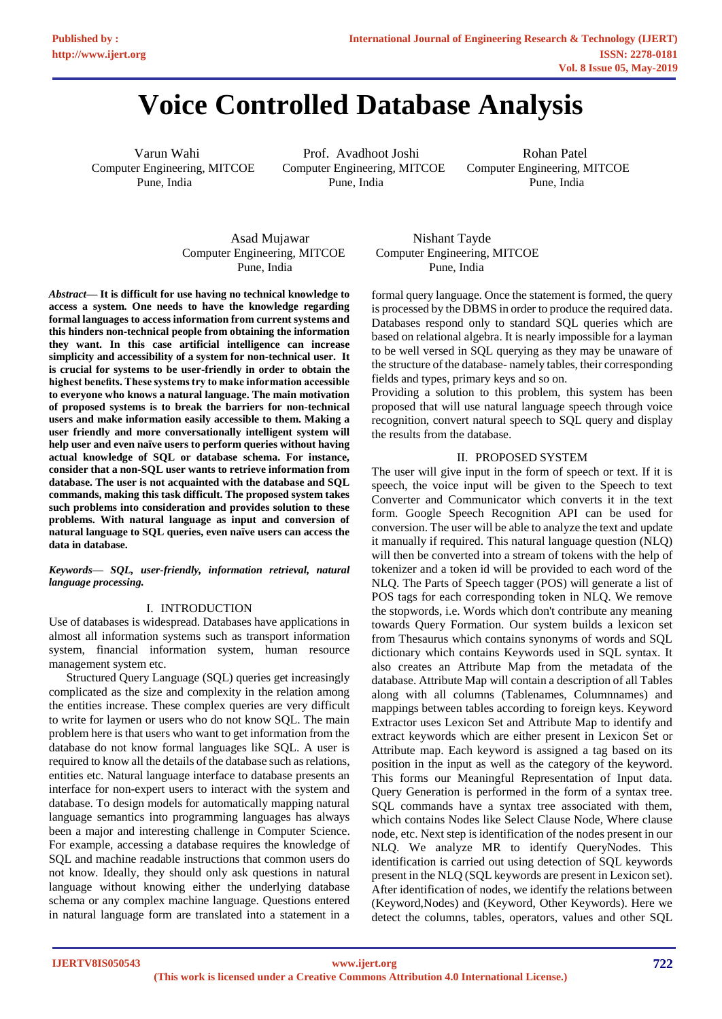# **Voice Controlled Database Analysis**

Computer Engineering, MITCOE Computer Engineering, MITCOE Computer Engineering, MITCOE

Varun Wahi Prof. Avadhoot Joshi Rohan Patel Pune, India Pune, India Pune, India

Computer Engineering, MITCOE Computer Engineering, MITCOE Pune, India Pune, India

*Abstract—* **It is difficult for use having no technical knowledge to access a system. One needs to have the knowledge regarding formal languages to access information from current systems and this hinders non-technical people from obtaining the information they want. In this case artificial intelligence can increase simplicity and accessibility of a system for non-technical user. It is crucial for systems to be user-friendly in order to obtain the highest benefits. These systems try to make information accessible to everyone who knows a natural language. The main motivation of proposed systems is to break the barriers for non-technical users and make information easily accessible to them. Making a user friendly and more conversationally intelligent system will help user and even naïve users to perform queries without having actual knowledge of SQL or database schema. For instance, consider that a non-SQL user wants to retrieve information from database. The user is not acquainted with the database and SQL commands, making this task difficult. The proposed system takes such problems into consideration and provides solution to these problems. With natural language as input and conversion of natural language to SQL queries, even naïve users can access the data in database.**

### *Keywords— SQL, user-friendly, information retrieval, natural language processing.*

# I. INTRODUCTION

Use of databases is widespread. Databases have applications in almost all information systems such as transport information system, financial information system, human resource management system etc.

Structured Query Language (SQL) queries get increasingly complicated as the size and complexity in the relation among the entities increase. These complex queries are very difficult to write for laymen or users who do not know SQL. The main problem here is that users who want to get information from the database do not know formal languages like SQL. A user is required to know all the details of the database such as relations, entities etc. Natural language interface to database presents an interface for non-expert users to interact with the system and database. To design models for automatically mapping natural language semantics into programming languages has always been a major and interesting challenge in Computer Science. For example, accessing a database requires the knowledge of SQL and machine readable instructions that common users do not know. Ideally, they should only ask questions in natural language without knowing either the underlying database schema or any complex machine language. Questions entered in natural language form are translated into a statement in a

Asad Mujawar Nishant Tayde

formal query language. Once the statement is formed, the query is processed by the DBMS in order to produce the required data. Databases respond only to standard SQL queries which are based on relational algebra. It is nearly impossible for a layman to be well versed in SQL querying as they may be unaware of the structure of the database- namely tables, their corresponding fields and types, primary keys and so on.

Providing a solution to this problem, this system has been proposed that will use natural language speech through voice recognition, convert natural speech to SQL query and display the results from the database.

## II. PROPOSED SYSTEM

The user will give input in the form of speech or text. If it is speech, the voice input will be given to the Speech to text Converter and Communicator which converts it in the text form. Google Speech Recognition API can be used for conversion. The user will be able to analyze the text and update it manually if required. This natural language question (NLQ) will then be converted into a stream of tokens with the help of tokenizer and a token id will be provided to each word of the NLQ. The Parts of Speech tagger (POS) will generate a list of POS tags for each corresponding token in NLQ. We remove the stopwords, i.e. Words which don't contribute any meaning towards Query Formation. Our system builds a lexicon set from Thesaurus which contains synonyms of words and SQL dictionary which contains Keywords used in SQL syntax. It also creates an Attribute Map from the metadata of the database. Attribute Map will contain a description of all Tables along with all columns (Tablenames, Columnnames) and mappings between tables according to foreign keys. Keyword Extractor uses Lexicon Set and Attribute Map to identify and extract keywords which are either present in Lexicon Set or Attribute map. Each keyword is assigned a tag based on its position in the input as well as the category of the keyword. This forms our Meaningful Representation of Input data. Query Generation is performed in the form of a syntax tree. SQL commands have a syntax tree associated with them, which contains Nodes like Select Clause Node, Where clause node, etc. Next step is identification of the nodes present in our NLQ. We analyze MR to identify QueryNodes. This identification is carried out using detection of SQL keywords present in the NLQ (SQL keywords are present in Lexicon set). After identification of nodes, we identify the relations between (Keyword,Nodes) and (Keyword, Other Keywords). Here we detect the columns, tables, operators, values and other SQL

**IJERTV8IS050543**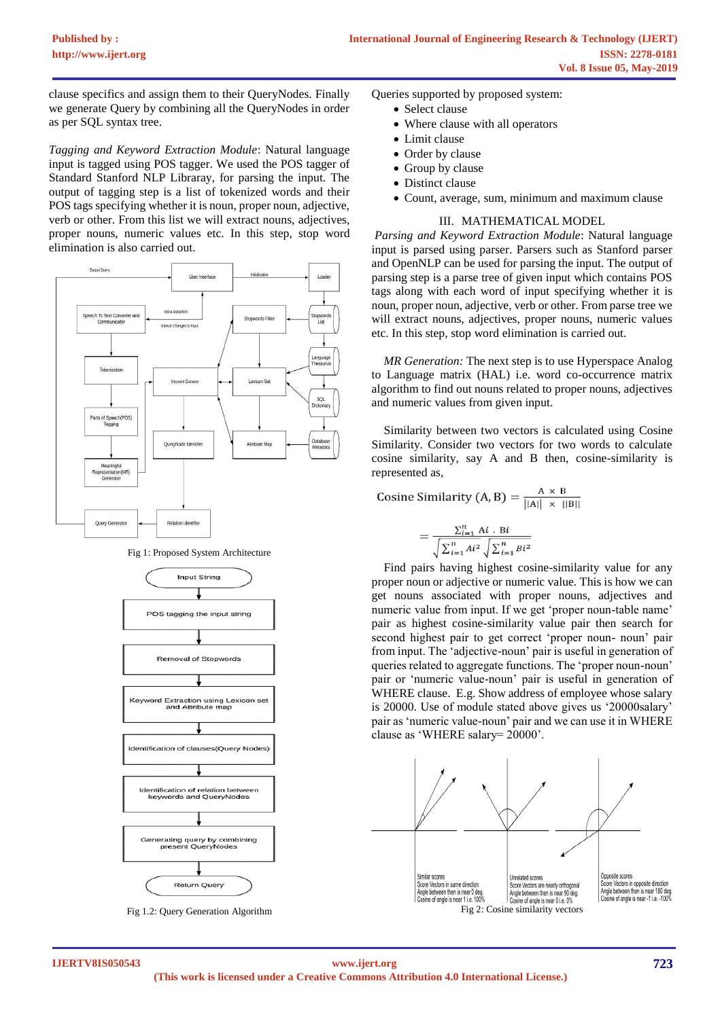clause specifics and assign them to their QueryNodes. Finally we generate Query by combining all the QueryNodes in order as per SQL syntax tree.

*Tagging and Keyword Extraction Module*: Natural language input is tagged using POS tagger. We used the POS tagger of Standard Stanford NLP Libraray, for parsing the input. The output of tagging step is a list of tokenized words and their POS tags specifying whether it is noun, proper noun, adjective, verb or other. From this list we will extract nouns, adjectives, proper nouns, numeric values etc. In this step, stop word elimination is also carried out.



Fig 1: Proposed System Architecture



Fig 1.2: Query Generation Algorithm

Queries supported by proposed system:

- Select clause
- Where clause with all operators
- Limit clause
- Order by clause
- Group by clause
- Distinct clause
- Count, average, sum, minimum and maximum clause

# III. MATHEMATICAL MODEL

*Parsing and Keyword Extraction Module*: Natural language input is parsed using parser. Parsers such as Stanford parser and OpenNLP can be used for parsing the input. The output of parsing step is a parse tree of given input which contains POS tags along with each word of input specifying whether it is noun, proper noun, adjective, verb or other. From parse tree we will extract nouns, adjectives, proper nouns, numeric values etc. In this step, stop word elimination is carried out.

 *MR Generation:* The next step is to use Hyperspace Analog to Language matrix (HAL) i.e. word co-occurrence matrix algorithm to find out nouns related to proper nouns, adjectives and numeric values from given input.

 Similarity between two vectors is calculated using Cosine Similarity. Consider two vectors for two words to calculate cosine similarity, say A and B then, cosine-similarity is represented as,

Cosine Similarity (A, B) = 
$$
\frac{A \times B}{||A|| \times ||B||}
$$

$$
= \frac{\sum_{i=1}^{n} Ai \cdot Bi}{\sqrt{\sum_{i=1}^{n} Ai^2} \sqrt{\sum_{i=1}^{n} Bi^2}}
$$

 Find pairs having highest cosine-similarity value for any proper noun or adjective or numeric value. This is how we can get nouns associated with proper nouns, adjectives and numeric value from input. If we get 'proper noun-table name' pair as highest cosine-similarity value pair then search for second highest pair to get correct 'proper noun- noun' pair from input. The 'adjective-noun' pair is useful in generation of queries related to aggregate functions. The 'proper noun-noun' pair or 'numeric value-noun' pair is useful in generation of WHERE clause. E.g. Show address of employee whose salary is 20000. Use of module stated above gives us '20000salary' pair as 'numeric value-noun' pair and we can use it in WHERE clause as 'WHERE salary= 20000'.



**IJERTV8IS050543**